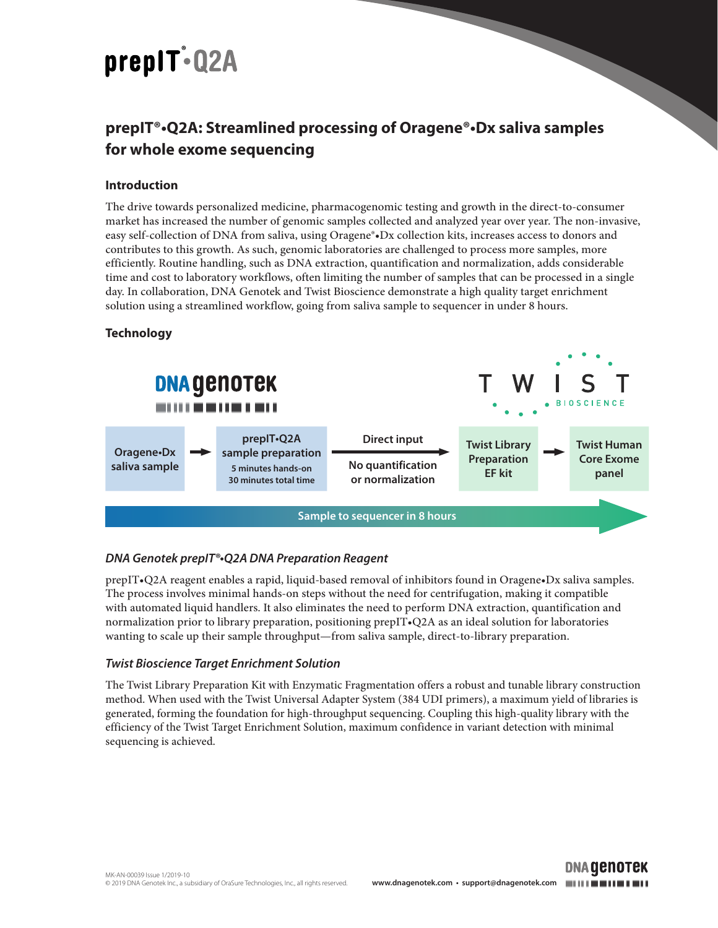# prepIT.Q2A

# **prepIT®•Q2A: Streamlined processing of Oragene®•Dx saliva samples for whole exome sequencing**

# **Introduction**

The drive towards personalized medicine, pharmacogenomic testing and growth in the direct-to-consumer market has increased the number of genomic samples collected and analyzed year over year. The non-invasive, easy self-collection of DNA from saliva, using Oragene®•Dx collection kits, increases access to donors and contributes to this growth. As such, genomic laboratories are challenged to process more samples, more efficiently. Routine handling, such as DNA extraction, quantification and normalization, adds considerable time and cost to laboratory workflows, often limiting the number of samples that can be processed in a single day. In collaboration, DNA Genotek and Twist Bioscience demonstrate a high quality target enrichment solution using a streamlined workflow, going from saliva sample to sequencer in under 8 hours.

# **Technology**



# *DNA Genotek prepIT®•Q2A DNA Preparation Reagent*

prepIT•Q2A reagent enables a rapid, liquid-based removal of inhibitors found in Oragene•Dx saliva samples. The process involves minimal hands-on steps without the need for centrifugation, making it compatible with automated liquid handlers. It also eliminates the need to perform DNA extraction, quantification and normalization prior to library preparation, positioning prepIT•Q2A as an ideal solution for laboratories wanting to scale up their sample throughput—from saliva sample, direct-to-library preparation.

### *Twist Bioscience Target Enrichment Solution*

The Twist Library Preparation Kit with Enzymatic Fragmentation offers a robust and tunable library construction method. When used with the Twist Universal Adapter System (384 UDI primers), a maximum yield of libraries is generated, forming the foundation for high-throughput sequencing. Coupling this high-quality library with the efficiency of the Twist Target Enrichment Solution, maximum confidence in variant detection with minimal sequencing is achieved.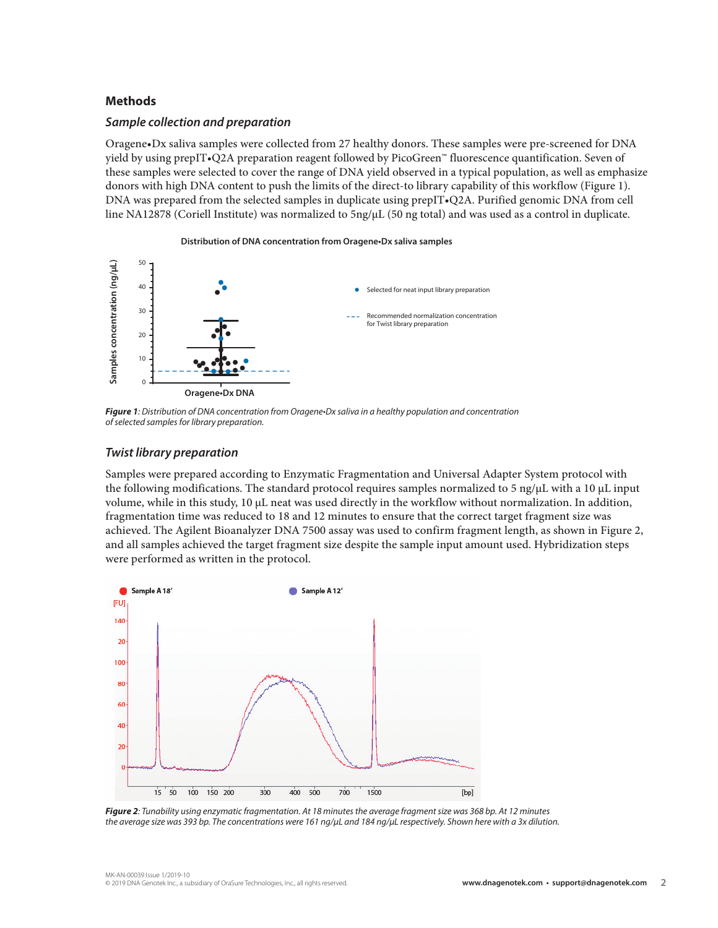#### **Methods**

#### *Sample collection and preparation*

Oragene•Dx saliva samples were collected from 27 healthy donors. These samples were pre-screened for DNA yield by using prepIT•Q2A preparation reagent followed by PicoGreen™ fluorescence quantification. Seven of these samples were selected to cover the range of DNA yield observed in a typical population, as well as emphasize donors with high DNA content to push the limits of the direct-to library capability of this workflow (Figure 1). DNA was prepared from the selected samples in duplicate using prepIT•Q2A. Purified genomic DNA from cell line NA12878 (Coriell Institute) was normalized to 5ng/µL (50 ng total) and was used as a control in duplicate.



*Figure 1: Distribution of DNA concentration from Oragene•Dx saliva in a healthy population and concentration of selected samples for library preparation.* 

#### *Twist library preparation*

Samples were prepared according to Enzymatic Fragmentation and Universal Adapter System protocol with the following modifications. The standard protocol requires samples normalized to 5 ng/ $\mu$ L with a 10  $\mu$ L input volume, while in this study, 10 µL neat was used directly in the workflow without normalization. In addition, fragmentation time was reduced to 18 and 12 minutes to ensure that the correct target fragment size was achieved. The Agilent Bioanalyzer DNA 7500 assay was used to confirm fragment length, as shown in Figure 2, and all samples achieved the target fragment size despite the sample input amount used. Hybridization steps were performed as written in the protocol.



*Figure 2: Tunability using enzymatic fragmentation. At 18 minutes the average fragment size was 368 bp. At 12 minutes the average size was 393 bp. The concentrations were 161 ng/µL and 184 ng/µL respectively. Shown here with a 3x dilution.*